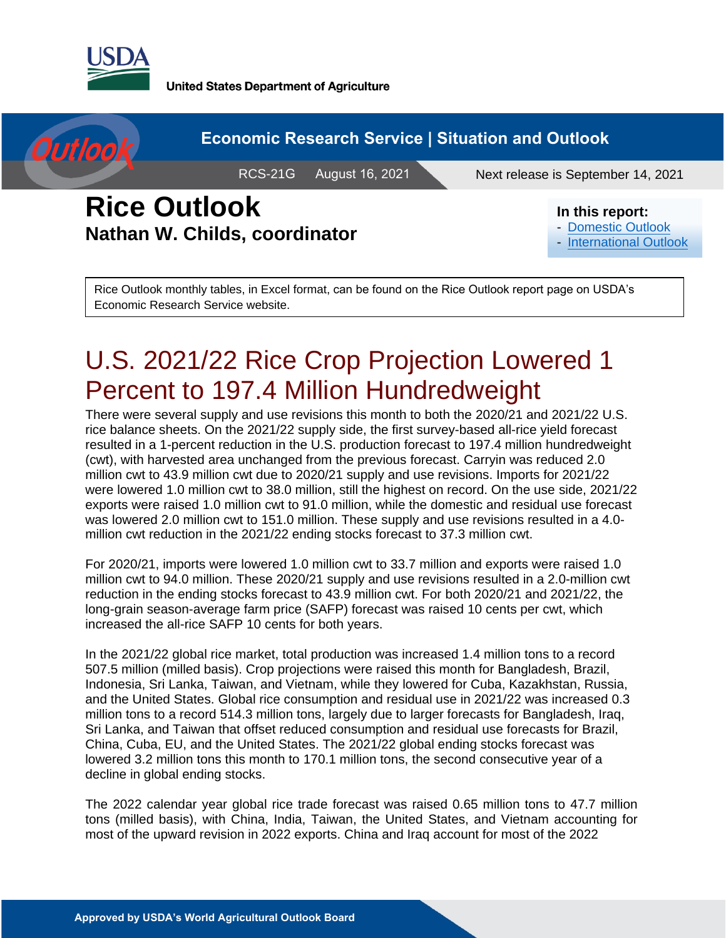

**United States Department of Agriculture** 



#### **Economic Research Service | Situation and Outlook**

RCS-21G August 16, 2021

Next release is September 14, 2021

## **Rice Outlook Nathan W. Childs, coordinator**

#### **In this report:**

- [Domestic Outlook](#page-2-0)
- [International Outlook](#page-8-0)

Rice Outlook monthly tables, in Excel format, can be found on the Rice Outlook report page on USDA's Economic Research Service website.

# U.S. 2021/22 Rice Crop Projection Lowered 1 Percent to 197.4 Million Hundredweight

There were several supply and use revisions this month to both the 2020/21 and 2021/22 U.S. rice balance sheets. On the 2021/22 supply side, the first survey-based all-rice yield forecast resulted in a 1-percent reduction in the U.S. production forecast to 197.4 million hundredweight (cwt), with harvested area unchanged from the previous forecast. Carryin was reduced 2.0 million cwt to 43.9 million cwt due to 2020/21 supply and use revisions. Imports for 2021/22 were lowered 1.0 million cwt to 38.0 million, still the highest on record. On the use side, 2021/22 exports were raised 1.0 million cwt to 91.0 million, while the domestic and residual use forecast was lowered 2.0 million cwt to 151.0 million. These supply and use revisions resulted in a 4.0 million cwt reduction in the 2021/22 ending stocks forecast to 37.3 million cwt.

For 2020/21, imports were lowered 1.0 million cwt to 33.7 million and exports were raised 1.0 million cwt to 94.0 million. These 2020/21 supply and use revisions resulted in a 2.0-million cwt reduction in the ending stocks forecast to 43.9 million cwt. For both 2020/21 and 2021/22, the long-grain season-average farm price (SAFP) forecast was raised 10 cents per cwt, which increased the all-rice SAFP 10 cents for both years.

In the 2021/22 global rice market, total production was increased 1.4 million tons to a record 507.5 million (milled basis). Crop projections were raised this month for Bangladesh, Brazil, Indonesia, Sri Lanka, Taiwan, and Vietnam, while they lowered for Cuba, Kazakhstan, Russia, and the United States. Global rice consumption and residual use in 2021/22 was increased 0.3 million tons to a record 514.3 million tons, largely due to larger forecasts for Bangladesh, Iraq, Sri Lanka, and Taiwan that offset reduced consumption and residual use forecasts for Brazil, China, Cuba, EU, and the United States. The 2021/22 global ending stocks forecast was lowered 3.2 million tons this month to 170.1 million tons, the second consecutive year of a decline in global ending stocks.

The 2022 calendar year global rice trade forecast was raised 0.65 million tons to 47.7 million tons (milled basis), with China, India, Taiwan, the United States, and Vietnam accounting for most of the upward revision in 2022 exports. China and Iraq account for most of the 2022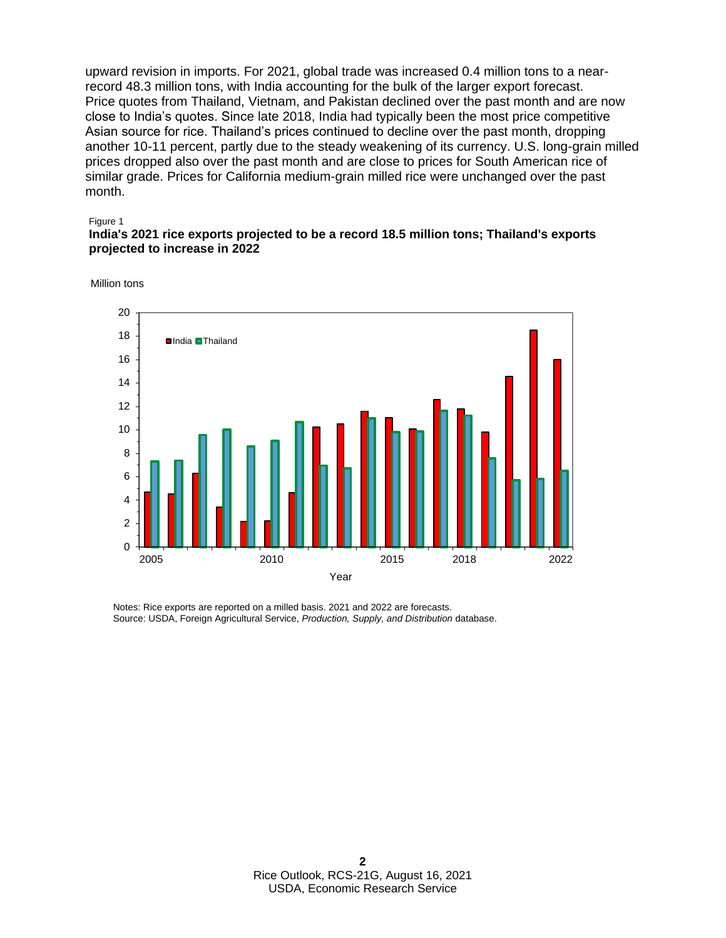upward revision in imports. For 2021, global trade was increased 0.4 million tons to a nearrecord 48.3 million tons, with India accounting for the bulk of the larger export forecast. Price quotes from Thailand, Vietnam, and Pakistan declined over the past month and are now close to India's quotes. Since late 2018, India had typically been the most price competitive Asian source for rice. Thailand's prices continued to decline over the past month, dropping another 10-11 percent, partly due to the steady weakening of its currency. U.S. long-grain milled prices dropped also over the past month and are close to prices for South American rice of similar grade. Prices for California medium-grain milled rice were unchanged over the past month.

#### Figure 1

#### **India's 2021 rice exports projected to be a record 18.5 million tons; Thailand's exports projected to increase in 2022**

Million tons



Notes: Rice exports are reported on a milled basis. 2021 and 2022 are forecasts. Source: USDA, Foreign Agricultural Service, *Production, Supply, and Distribution* database.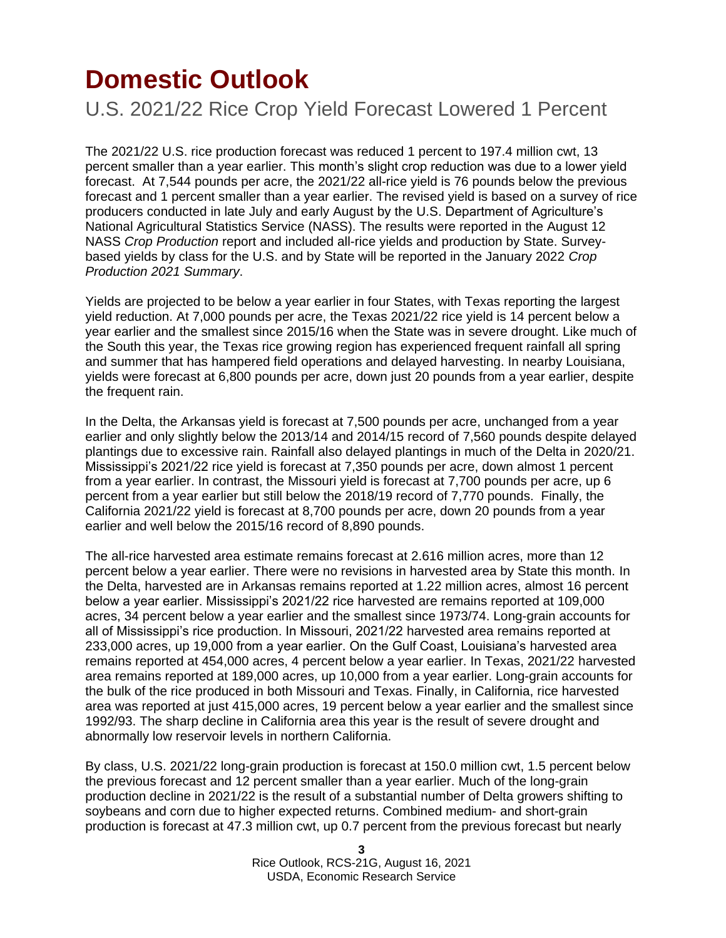## <span id="page-2-0"></span>**Domestic Outlook**

U.S. 2021/22 Rice Crop Yield Forecast Lowered 1 Percent

The 2021/22 U.S. rice production forecast was reduced 1 percent to 197.4 million cwt, 13 percent smaller than a year earlier. This month's slight crop reduction was due to a lower yield forecast. At 7,544 pounds per acre, the 2021/22 all-rice yield is 76 pounds below the previous forecast and 1 percent smaller than a year earlier. The revised yield is based on a survey of rice producers conducted in late July and early August by the U.S. Department of Agriculture's National Agricultural Statistics Service (NASS). The results were reported in the August 12 NASS *Crop Production* report and included all-rice yields and production by State. Surveybased yields by class for the U.S. and by State will be reported in the January 2022 *Crop Production 2021 Summary*.

Yields are projected to be below a year earlier in four States, with Texas reporting the largest yield reduction. At 7,000 pounds per acre, the Texas 2021/22 rice yield is 14 percent below a year earlier and the smallest since 2015/16 when the State was in severe drought. Like much of the South this year, the Texas rice growing region has experienced frequent rainfall all spring and summer that has hampered field operations and delayed harvesting. In nearby Louisiana, yields were forecast at 6,800 pounds per acre, down just 20 pounds from a year earlier, despite the frequent rain.

In the Delta, the Arkansas yield is forecast at 7,500 pounds per acre, unchanged from a year earlier and only slightly below the 2013/14 and 2014/15 record of 7,560 pounds despite delayed plantings due to excessive rain. Rainfall also delayed plantings in much of the Delta in 2020/21. Mississippi's 2021/22 rice yield is forecast at 7,350 pounds per acre, down almost 1 percent from a year earlier. In contrast, the Missouri yield is forecast at 7,700 pounds per acre, up 6 percent from a year earlier but still below the 2018/19 record of 7,770 pounds. Finally, the California 2021/22 yield is forecast at 8,700 pounds per acre, down 20 pounds from a year earlier and well below the 2015/16 record of 8,890 pounds.

The all-rice harvested area estimate remains forecast at 2.616 million acres, more than 12 percent below a year earlier. There were no revisions in harvested area by State this month. In the Delta, harvested are in Arkansas remains reported at 1.22 million acres, almost 16 percent below a year earlier. Mississippi's 2021/22 rice harvested are remains reported at 109,000 acres, 34 percent below a year earlier and the smallest since 1973/74. Long-grain accounts for all of Mississippi's rice production. In Missouri, 2021/22 harvested area remains reported at 233,000 acres, up 19,000 from a year earlier. On the Gulf Coast, Louisiana's harvested area remains reported at 454,000 acres, 4 percent below a year earlier. In Texas, 2021/22 harvested area remains reported at 189,000 acres, up 10,000 from a year earlier. Long-grain accounts for the bulk of the rice produced in both Missouri and Texas. Finally, in California, rice harvested area was reported at just 415,000 acres, 19 percent below a year earlier and the smallest since 1992/93. The sharp decline in California area this year is the result of severe drought and abnormally low reservoir levels in northern California.

By class, U.S. 2021/22 long-grain production is forecast at 150.0 million cwt, 1.5 percent below the previous forecast and 12 percent smaller than a year earlier. Much of the long-grain production decline in 2021/22 is the result of a substantial number of Delta growers shifting to soybeans and corn due to higher expected returns. Combined medium- and short-grain production is forecast at 47.3 million cwt, up 0.7 percent from the previous forecast but nearly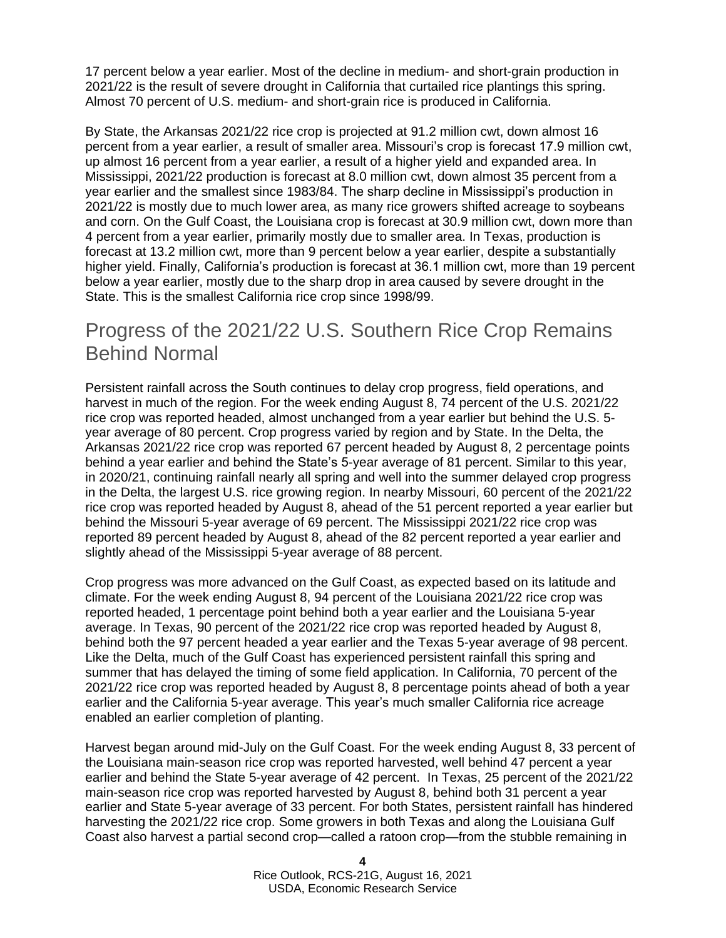17 percent below a year earlier. Most of the decline in medium- and short-grain production in 2021/22 is the result of severe drought in California that curtailed rice plantings this spring. Almost 70 percent of U.S. medium- and short-grain rice is produced in California.

By State, the Arkansas 2021/22 rice crop is projected at 91.2 million cwt, down almost 16 percent from a year earlier, a result of smaller area. Missouri's crop is forecast 17.9 million cwt, up almost 16 percent from a year earlier, a result of a higher yield and expanded area. In Mississippi, 2021/22 production is forecast at 8.0 million cwt, down almost 35 percent from a year earlier and the smallest since 1983/84. The sharp decline in Mississippi's production in 2021/22 is mostly due to much lower area, as many rice growers shifted acreage to soybeans and corn. On the Gulf Coast, the Louisiana crop is forecast at 30.9 million cwt, down more than 4 percent from a year earlier, primarily mostly due to smaller area. In Texas, production is forecast at 13.2 million cwt, more than 9 percent below a year earlier, despite a substantially higher yield. Finally, California's production is forecast at 36.1 million cwt, more than 19 percent below a year earlier, mostly due to the sharp drop in area caused by severe drought in the State. This is the smallest California rice crop since 1998/99.

### Progress of the 2021/22 U.S. Southern Rice Crop Remains Behind Normal

Persistent rainfall across the South continues to delay crop progress, field operations, and harvest in much of the region. For the week ending August 8, 74 percent of the U.S. 2021/22 rice crop was reported headed, almost unchanged from a year earlier but behind the U.S. 5 year average of 80 percent. Crop progress varied by region and by State. In the Delta, the Arkansas 2021/22 rice crop was reported 67 percent headed by August 8, 2 percentage points behind a year earlier and behind the State's 5-year average of 81 percent. Similar to this year, in 2020/21, continuing rainfall nearly all spring and well into the summer delayed crop progress in the Delta, the largest U.S. rice growing region. In nearby Missouri, 60 percent of the 2021/22 rice crop was reported headed by August 8, ahead of the 51 percent reported a year earlier but behind the Missouri 5-year average of 69 percent. The Mississippi 2021/22 rice crop was reported 89 percent headed by August 8, ahead of the 82 percent reported a year earlier and slightly ahead of the Mississippi 5-year average of 88 percent.

Crop progress was more advanced on the Gulf Coast, as expected based on its latitude and climate. For the week ending August 8, 94 percent of the Louisiana 2021/22 rice crop was reported headed, 1 percentage point behind both a year earlier and the Louisiana 5-year average. In Texas, 90 percent of the 2021/22 rice crop was reported headed by August 8, behind both the 97 percent headed a year earlier and the Texas 5-year average of 98 percent. Like the Delta, much of the Gulf Coast has experienced persistent rainfall this spring and summer that has delayed the timing of some field application. In California, 70 percent of the 2021/22 rice crop was reported headed by August 8, 8 percentage points ahead of both a year earlier and the California 5-year average. This year's much smaller California rice acreage enabled an earlier completion of planting.

Harvest began around mid-July on the Gulf Coast. For the week ending August 8, 33 percent of the Louisiana main-season rice crop was reported harvested, well behind 47 percent a year earlier and behind the State 5-year average of 42 percent. In Texas, 25 percent of the 2021/22 main-season rice crop was reported harvested by August 8, behind both 31 percent a year earlier and State 5-year average of 33 percent. For both States, persistent rainfall has hindered harvesting the 2021/22 rice crop. Some growers in both Texas and along the Louisiana Gulf Coast also harvest a partial second crop—called a ratoon crop—from the stubble remaining in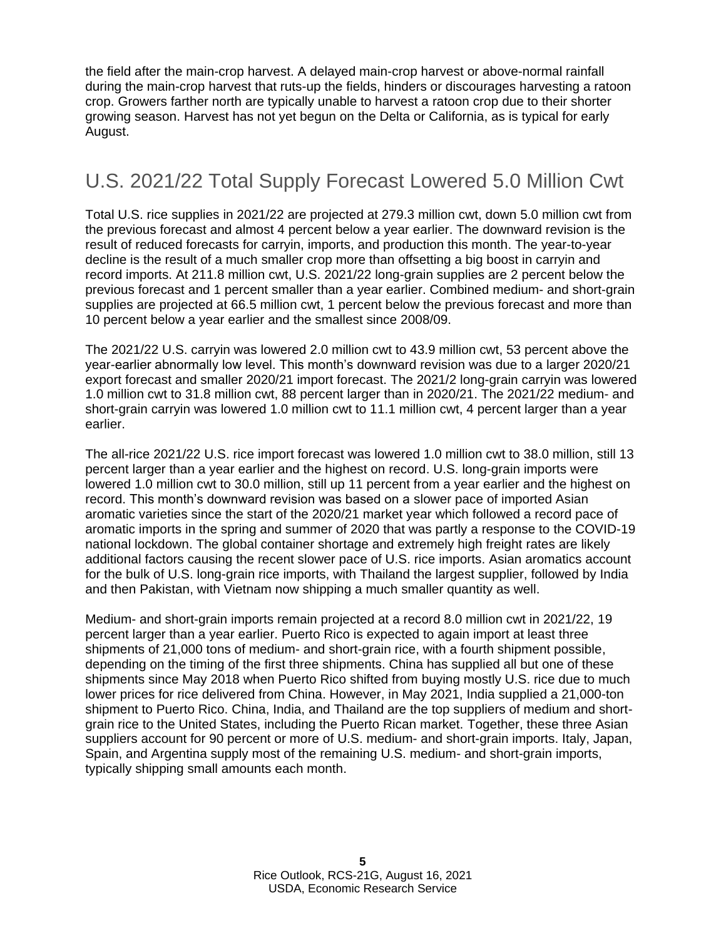the field after the main-crop harvest. A delayed main-crop harvest or above-normal rainfall during the main-crop harvest that ruts-up the fields, hinders or discourages harvesting a ratoon crop. Growers farther north are typically unable to harvest a ratoon crop due to their shorter growing season. Harvest has not yet begun on the Delta or California, as is typical for early August.

### U.S. 2021/22 Total Supply Forecast Lowered 5.0 Million Cwt

Total U.S. rice supplies in 2021/22 are projected at 279.3 million cwt, down 5.0 million cwt from the previous forecast and almost 4 percent below a year earlier. The downward revision is the result of reduced forecasts for carryin, imports, and production this month. The year-to-year decline is the result of a much smaller crop more than offsetting a big boost in carryin and record imports. At 211.8 million cwt, U.S. 2021/22 long-grain supplies are 2 percent below the previous forecast and 1 percent smaller than a year earlier. Combined medium- and short-grain supplies are projected at 66.5 million cwt, 1 percent below the previous forecast and more than 10 percent below a year earlier and the smallest since 2008/09.

The 2021/22 U.S. carryin was lowered 2.0 million cwt to 43.9 million cwt, 53 percent above the year-earlier abnormally low level. This month's downward revision was due to a larger 2020/21 export forecast and smaller 2020/21 import forecast. The 2021/2 long-grain carryin was lowered 1.0 million cwt to 31.8 million cwt, 88 percent larger than in 2020/21. The 2021/22 medium- and short-grain carryin was lowered 1.0 million cwt to 11.1 million cwt, 4 percent larger than a year earlier.

The all-rice 2021/22 U.S. rice import forecast was lowered 1.0 million cwt to 38.0 million, still 13 percent larger than a year earlier and the highest on record. U.S. long-grain imports were lowered 1.0 million cwt to 30.0 million, still up 11 percent from a year earlier and the highest on record. This month's downward revision was based on a slower pace of imported Asian aromatic varieties since the start of the 2020/21 market year which followed a record pace of aromatic imports in the spring and summer of 2020 that was partly a response to the COVID-19 national lockdown. The global container shortage and extremely high freight rates are likely additional factors causing the recent slower pace of U.S. rice imports. Asian aromatics account for the bulk of U.S. long-grain rice imports, with Thailand the largest supplier, followed by India and then Pakistan, with Vietnam now shipping a much smaller quantity as well.

Medium- and short-grain imports remain projected at a record 8.0 million cwt in 2021/22, 19 percent larger than a year earlier. Puerto Rico is expected to again import at least three shipments of 21,000 tons of medium- and short-grain rice, with a fourth shipment possible, depending on the timing of the first three shipments. China has supplied all but one of these shipments since May 2018 when Puerto Rico shifted from buying mostly U.S. rice due to much lower prices for rice delivered from China. However, in May 2021, India supplied a 21,000-ton shipment to Puerto Rico. China, India, and Thailand are the top suppliers of medium and shortgrain rice to the United States, including the Puerto Rican market. Together, these three Asian suppliers account for 90 percent or more of U.S. medium- and short-grain imports. Italy, Japan, Spain, and Argentina supply most of the remaining U.S. medium- and short-grain imports, typically shipping small amounts each month.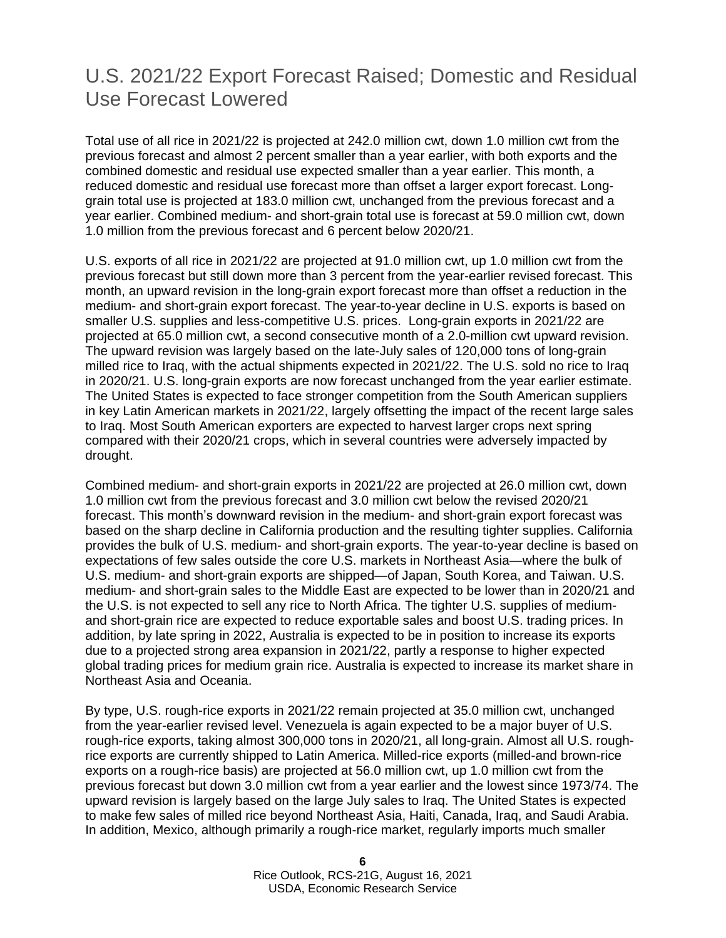#### U.S. 2021/22 Export Forecast Raised; Domestic and Residual Use Forecast Lowered

Total use of all rice in 2021/22 is projected at 242.0 million cwt, down 1.0 million cwt from the previous forecast and almost 2 percent smaller than a year earlier, with both exports and the combined domestic and residual use expected smaller than a year earlier. This month, a reduced domestic and residual use forecast more than offset a larger export forecast. Longgrain total use is projected at 183.0 million cwt, unchanged from the previous forecast and a year earlier. Combined medium- and short-grain total use is forecast at 59.0 million cwt, down 1.0 million from the previous forecast and 6 percent below 2020/21.

U.S. exports of all rice in 2021/22 are projected at 91.0 million cwt, up 1.0 million cwt from the previous forecast but still down more than 3 percent from the year-earlier revised forecast. This month, an upward revision in the long-grain export forecast more than offset a reduction in the medium- and short-grain export forecast. The year-to-year decline in U.S. exports is based on smaller U.S. supplies and less-competitive U.S. prices. Long-grain exports in 2021/22 are projected at 65.0 million cwt, a second consecutive month of a 2.0-million cwt upward revision. The upward revision was largely based on the late-July sales of 120,000 tons of long-grain milled rice to Iraq, with the actual shipments expected in 2021/22. The U.S. sold no rice to Iraq in 2020/21. U.S. long-grain exports are now forecast unchanged from the year earlier estimate. The United States is expected to face stronger competition from the South American suppliers in key Latin American markets in 2021/22, largely offsetting the impact of the recent large sales to Iraq. Most South American exporters are expected to harvest larger crops next spring compared with their 2020/21 crops, which in several countries were adversely impacted by drought.

Combined medium- and short-grain exports in 2021/22 are projected at 26.0 million cwt, down 1.0 million cwt from the previous forecast and 3.0 million cwt below the revised 2020/21 forecast. This month's downward revision in the medium- and short-grain export forecast was based on the sharp decline in California production and the resulting tighter supplies. California provides the bulk of U.S. medium- and short-grain exports. The year-to-year decline is based on expectations of few sales outside the core U.S. markets in Northeast Asia—where the bulk of U.S. medium- and short-grain exports are shipped—of Japan, South Korea, and Taiwan. U.S. medium- and short-grain sales to the Middle East are expected to be lower than in 2020/21 and the U.S. is not expected to sell any rice to North Africa. The tighter U.S. supplies of mediumand short-grain rice are expected to reduce exportable sales and boost U.S. trading prices. In addition, by late spring in 2022, Australia is expected to be in position to increase its exports due to a projected strong area expansion in 2021/22, partly a response to higher expected global trading prices for medium grain rice. Australia is expected to increase its market share in Northeast Asia and Oceania.

By type, U.S. rough-rice exports in 2021/22 remain projected at 35.0 million cwt, unchanged from the year-earlier revised level. Venezuela is again expected to be a major buyer of U.S. rough-rice exports, taking almost 300,000 tons in 2020/21, all long-grain. Almost all U.S. roughrice exports are currently shipped to Latin America. Milled-rice exports (milled-and brown-rice exports on a rough-rice basis) are projected at 56.0 million cwt, up 1.0 million cwt from the previous forecast but down 3.0 million cwt from a year earlier and the lowest since 1973/74. The upward revision is largely based on the large July sales to Iraq. The United States is expected to make few sales of milled rice beyond Northeast Asia, Haiti, Canada, Iraq, and Saudi Arabia. In addition, Mexico, although primarily a rough-rice market, regularly imports much smaller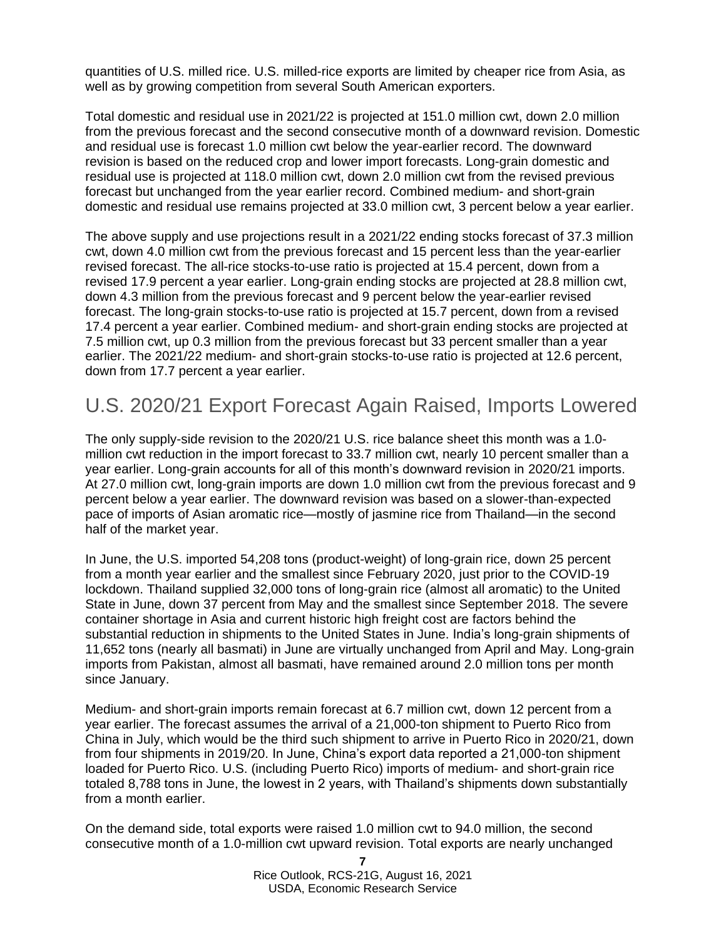quantities of U.S. milled rice. U.S. milled-rice exports are limited by cheaper rice from Asia, as well as by growing competition from several South American exporters.

Total domestic and residual use in 2021/22 is projected at 151.0 million cwt, down 2.0 million from the previous forecast and the second consecutive month of a downward revision. Domestic and residual use is forecast 1.0 million cwt below the year-earlier record. The downward revision is based on the reduced crop and lower import forecasts. Long-grain domestic and residual use is projected at 118.0 million cwt, down 2.0 million cwt from the revised previous forecast but unchanged from the year earlier record. Combined medium- and short-grain domestic and residual use remains projected at 33.0 million cwt, 3 percent below a year earlier.

The above supply and use projections result in a 2021/22 ending stocks forecast of 37.3 million cwt, down 4.0 million cwt from the previous forecast and 15 percent less than the year-earlier revised forecast. The all-rice stocks-to-use ratio is projected at 15.4 percent, down from a revised 17.9 percent a year earlier. Long-grain ending stocks are projected at 28.8 million cwt, down 4.3 million from the previous forecast and 9 percent below the year-earlier revised forecast. The long-grain stocks-to-use ratio is projected at 15.7 percent, down from a revised 17.4 percent a year earlier. Combined medium- and short-grain ending stocks are projected at 7.5 million cwt, up 0.3 million from the previous forecast but 33 percent smaller than a year earlier. The 2021/22 medium- and short-grain stocks-to-use ratio is projected at 12.6 percent, down from 17.7 percent a year earlier.

#### U.S. 2020/21 Export Forecast Again Raised, Imports Lowered

The only supply-side revision to the 2020/21 U.S. rice balance sheet this month was a 1.0 million cwt reduction in the import forecast to 33.7 million cwt, nearly 10 percent smaller than a year earlier. Long-grain accounts for all of this month's downward revision in 2020/21 imports. At 27.0 million cwt, long-grain imports are down 1.0 million cwt from the previous forecast and 9 percent below a year earlier. The downward revision was based on a slower-than-expected pace of imports of Asian aromatic rice—mostly of jasmine rice from Thailand—in the second half of the market year.

In June, the U.S. imported 54,208 tons (product-weight) of long-grain rice, down 25 percent from a month year earlier and the smallest since February 2020, just prior to the COVID-19 lockdown. Thailand supplied 32,000 tons of long-grain rice (almost all aromatic) to the United State in June, down 37 percent from May and the smallest since September 2018. The severe container shortage in Asia and current historic high freight cost are factors behind the substantial reduction in shipments to the United States in June. India's long-grain shipments of 11,652 tons (nearly all basmati) in June are virtually unchanged from April and May. Long-grain imports from Pakistan, almost all basmati, have remained around 2.0 million tons per month since January.

Medium- and short-grain imports remain forecast at 6.7 million cwt, down 12 percent from a year earlier. The forecast assumes the arrival of a 21,000-ton shipment to Puerto Rico from China in July, which would be the third such shipment to arrive in Puerto Rico in 2020/21, down from four shipments in 2019/20. In June, China's export data reported a 21,000-ton shipment loaded for Puerto Rico. U.S. (including Puerto Rico) imports of medium- and short-grain rice totaled 8,788 tons in June, the lowest in 2 years, with Thailand's shipments down substantially from a month earlier.

On the demand side, total exports were raised 1.0 million cwt to 94.0 million, the second consecutive month of a 1.0-million cwt upward revision. Total exports are nearly unchanged

> **7** Rice Outlook, RCS-21G, August 16, 2021 USDA, Economic Research Service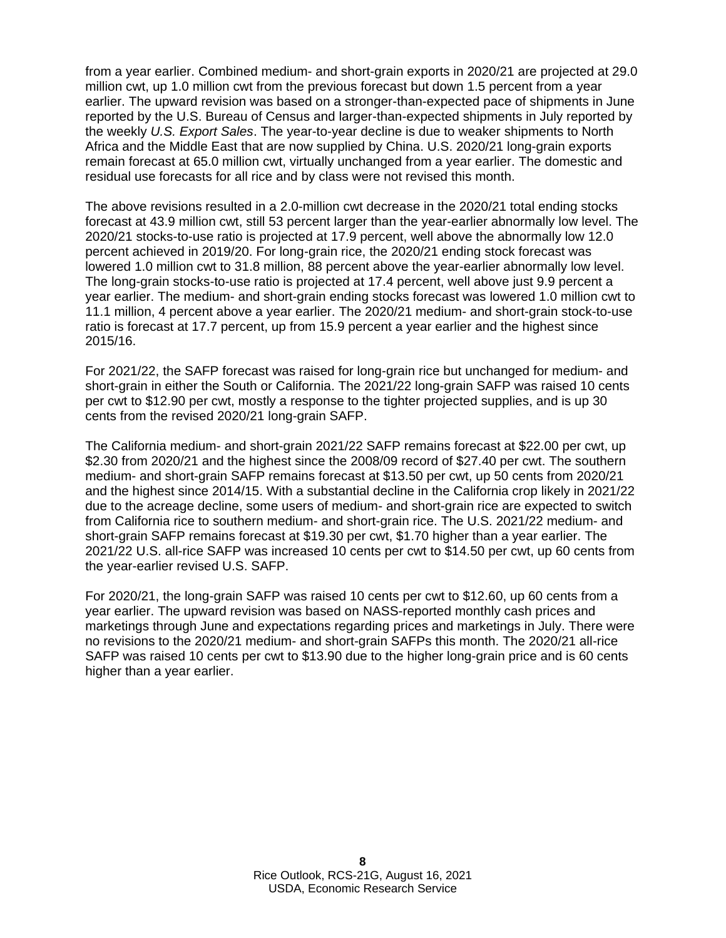from a year earlier. Combined medium- and short-grain exports in 2020/21 are projected at 29.0 million cwt, up 1.0 million cwt from the previous forecast but down 1.5 percent from a year earlier. The upward revision was based on a stronger-than-expected pace of shipments in June reported by the U.S. Bureau of Census and larger-than-expected shipments in July reported by the weekly *U.S. Export Sales*. The year-to-year decline is due to weaker shipments to North Africa and the Middle East that are now supplied by China. U.S. 2020/21 long-grain exports remain forecast at 65.0 million cwt, virtually unchanged from a year earlier. The domestic and residual use forecasts for all rice and by class were not revised this month.

The above revisions resulted in a 2.0-million cwt decrease in the 2020/21 total ending stocks forecast at 43.9 million cwt, still 53 percent larger than the year-earlier abnormally low level. The 2020/21 stocks-to-use ratio is projected at 17.9 percent, well above the abnormally low 12.0 percent achieved in 2019/20. For long-grain rice, the 2020/21 ending stock forecast was lowered 1.0 million cwt to 31.8 million, 88 percent above the year-earlier abnormally low level. The long-grain stocks-to-use ratio is projected at 17.4 percent, well above just 9.9 percent a year earlier. The medium- and short-grain ending stocks forecast was lowered 1.0 million cwt to 11.1 million, 4 percent above a year earlier. The 2020/21 medium- and short-grain stock-to-use ratio is forecast at 17.7 percent, up from 15.9 percent a year earlier and the highest since 2015/16.

For 2021/22, the SAFP forecast was raised for long-grain rice but unchanged for medium- and short-grain in either the South or California. The 2021/22 long-grain SAFP was raised 10 cents per cwt to \$12.90 per cwt, mostly a response to the tighter projected supplies, and is up 30 cents from the revised 2020/21 long-grain SAFP.

The California medium- and short-grain 2021/22 SAFP remains forecast at \$22.00 per cwt, up \$2.30 from 2020/21 and the highest since the 2008/09 record of \$27.40 per cwt. The southern medium- and short-grain SAFP remains forecast at \$13.50 per cwt, up 50 cents from 2020/21 and the highest since 2014/15. With a substantial decline in the California crop likely in 2021/22 due to the acreage decline, some users of medium- and short-grain rice are expected to switch from California rice to southern medium- and short-grain rice. The U.S. 2021/22 medium- and short-grain SAFP remains forecast at \$19.30 per cwt, \$1.70 higher than a year earlier. The 2021/22 U.S. all-rice SAFP was increased 10 cents per cwt to \$14.50 per cwt, up 60 cents from the year-earlier revised U.S. SAFP.

For 2020/21, the long-grain SAFP was raised 10 cents per cwt to \$12.60, up 60 cents from a year earlier. The upward revision was based on NASS-reported monthly cash prices and marketings through June and expectations regarding prices and marketings in July. There were no revisions to the 2020/21 medium- and short-grain SAFPs this month. The 2020/21 all-rice SAFP was raised 10 cents per cwt to \$13.90 due to the higher long-grain price and is 60 cents higher than a year earlier.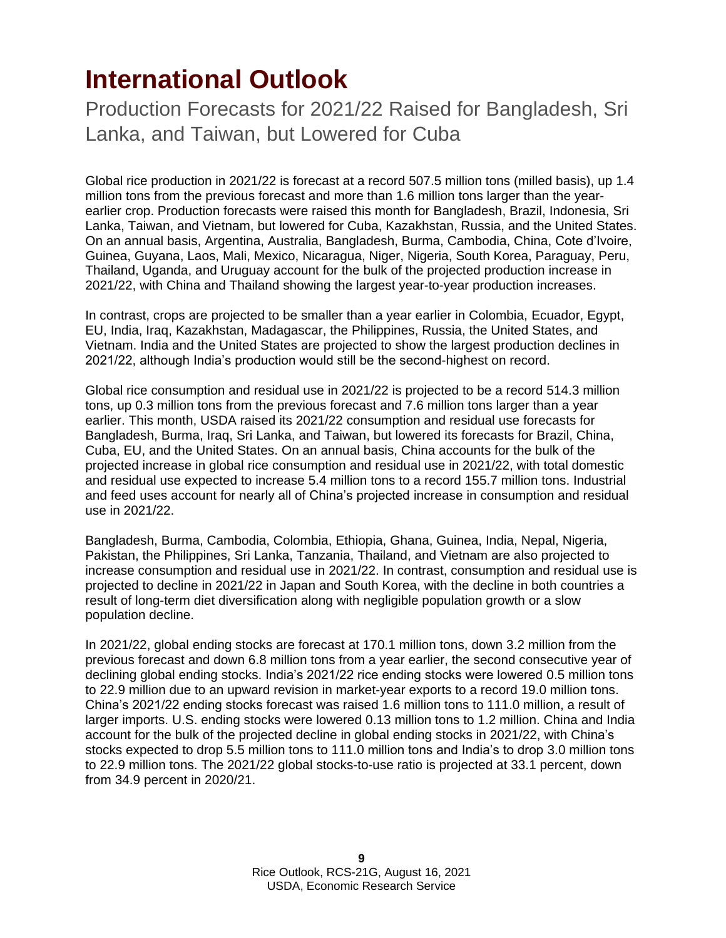## <span id="page-8-0"></span>**International Outlook**

Production Forecasts for 2021/22 Raised for Bangladesh, Sri Lanka, and Taiwan, but Lowered for Cuba

Global rice production in 2021/22 is forecast at a record 507.5 million tons (milled basis), up 1.4 million tons from the previous forecast and more than 1.6 million tons larger than the yearearlier crop. Production forecasts were raised this month for Bangladesh, Brazil, Indonesia, Sri Lanka, Taiwan, and Vietnam, but lowered for Cuba, Kazakhstan, Russia, and the United States. On an annual basis, Argentina, Australia, Bangladesh, Burma, Cambodia, China, Cote d'Ivoire, Guinea, Guyana, Laos, Mali, Mexico, Nicaragua, Niger, Nigeria, South Korea, Paraguay, Peru, Thailand, Uganda, and Uruguay account for the bulk of the projected production increase in 2021/22, with China and Thailand showing the largest year-to-year production increases.

In contrast, crops are projected to be smaller than a year earlier in Colombia, Ecuador, Egypt, EU, India, Iraq, Kazakhstan, Madagascar, the Philippines, Russia, the United States, and Vietnam. India and the United States are projected to show the largest production declines in 2021/22, although India's production would still be the second-highest on record.

Global rice consumption and residual use in 2021/22 is projected to be a record 514.3 million tons, up 0.3 million tons from the previous forecast and 7.6 million tons larger than a year earlier. This month, USDA raised its 2021/22 consumption and residual use forecasts for Bangladesh, Burma, Iraq, Sri Lanka, and Taiwan, but lowered its forecasts for Brazil, China, Cuba, EU, and the United States. On an annual basis, China accounts for the bulk of the projected increase in global rice consumption and residual use in 2021/22, with total domestic and residual use expected to increase 5.4 million tons to a record 155.7 million tons. Industrial and feed uses account for nearly all of China's projected increase in consumption and residual use in 2021/22.

Bangladesh, Burma, Cambodia, Colombia, Ethiopia, Ghana, Guinea, India, Nepal, Nigeria, Pakistan, the Philippines, Sri Lanka, Tanzania, Thailand, and Vietnam are also projected to increase consumption and residual use in 2021/22. In contrast, consumption and residual use is projected to decline in 2021/22 in Japan and South Korea, with the decline in both countries a result of long-term diet diversification along with negligible population growth or a slow population decline.

In 2021/22, global ending stocks are forecast at 170.1 million tons, down 3.2 million from the previous forecast and down 6.8 million tons from a year earlier, the second consecutive year of declining global ending stocks. India's 2021/22 rice ending stocks were lowered 0.5 million tons to 22.9 million due to an upward revision in market-year exports to a record 19.0 million tons. China's 2021/22 ending stocks forecast was raised 1.6 million tons to 111.0 million, a result of larger imports. U.S. ending stocks were lowered 0.13 million tons to 1.2 million. China and India account for the bulk of the projected decline in global ending stocks in 2021/22, with China's stocks expected to drop 5.5 million tons to 111.0 million tons and India's to drop 3.0 million tons to 22.9 million tons. The 2021/22 global stocks-to-use ratio is projected at 33.1 percent, down from 34.9 percent in 2020/21.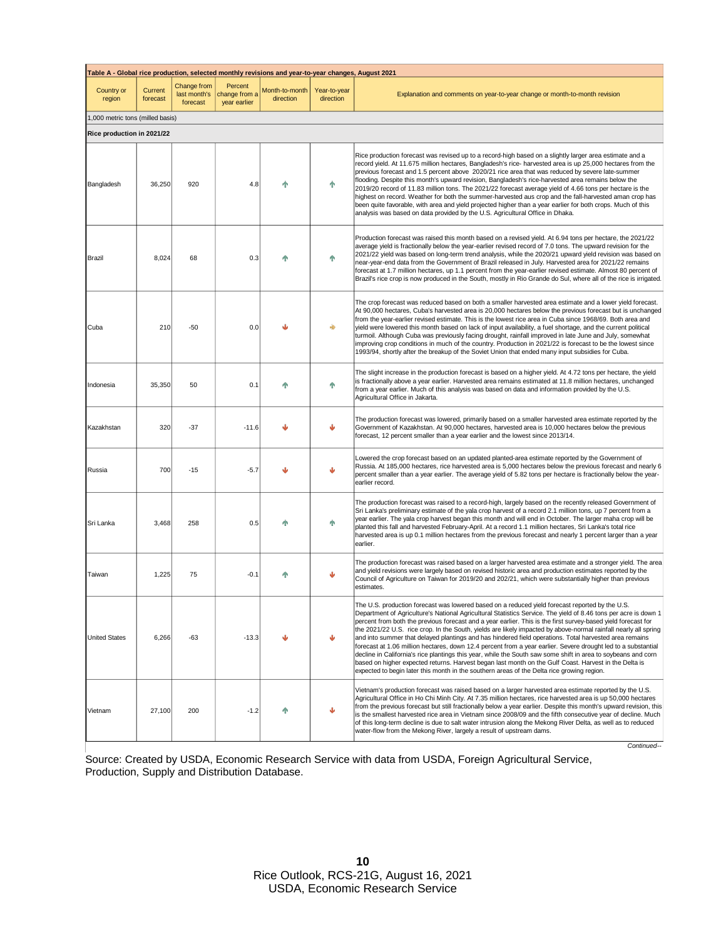| Table A - Global rice production, selected monthly revisions and year-to-year changes, August 2021 |                     |                                         |                                          |                             |                           |                                                                                                                                                                                                                                                                                                                                                                                                                                                                                                                                                                                                                                                                                                                                                                                                                                                                                                                                                                                                           |  |  |  |
|----------------------------------------------------------------------------------------------------|---------------------|-----------------------------------------|------------------------------------------|-----------------------------|---------------------------|-----------------------------------------------------------------------------------------------------------------------------------------------------------------------------------------------------------------------------------------------------------------------------------------------------------------------------------------------------------------------------------------------------------------------------------------------------------------------------------------------------------------------------------------------------------------------------------------------------------------------------------------------------------------------------------------------------------------------------------------------------------------------------------------------------------------------------------------------------------------------------------------------------------------------------------------------------------------------------------------------------------|--|--|--|
| Country or<br>region                                                                               | Current<br>forecast | Change from<br>last month's<br>forecast | Percent<br>change from a<br>year earlier | Month-to-month<br>direction | Year-to-year<br>direction | Explanation and comments on year-to-year change or month-to-month revision                                                                                                                                                                                                                                                                                                                                                                                                                                                                                                                                                                                                                                                                                                                                                                                                                                                                                                                                |  |  |  |
| 1,000 metric tons (milled basis)                                                                   |                     |                                         |                                          |                             |                           |                                                                                                                                                                                                                                                                                                                                                                                                                                                                                                                                                                                                                                                                                                                                                                                                                                                                                                                                                                                                           |  |  |  |
| Rice production in 2021/22                                                                         |                     |                                         |                                          |                             |                           |                                                                                                                                                                                                                                                                                                                                                                                                                                                                                                                                                                                                                                                                                                                                                                                                                                                                                                                                                                                                           |  |  |  |
| Bangladesh                                                                                         | 36,250              | 920                                     | 4.8                                      |                             | 个                         | Rice production forecast was revised up to a record-high based on a slightly larger area estimate and a<br>record yield. At 11.675 million hectares, Bangladesh's rice- harvested area is up 25,000 hectares from the<br>previous forecast and 1.5 percent above 2020/21 rice area that was reduced by severe late-summer<br>flooding. Despite this month's upward revision, Bangladesh's rice-harvested area remains below the<br>2019/20 record of 11.83 million tons. The 2021/22 forecast average yield of 4.66 tons per hectare is the<br>highest on record. Weather for both the summer-harvested aus crop and the fall-harvested aman crop has<br>been quite favorable, with area and yield projected higher than a year earlier for both crops. Much of this<br>analysis was based on data provided by the U.S. Agricultural Office in Dhaka.                                                                                                                                                     |  |  |  |
| Brazil                                                                                             | 8,024               | 68                                      | 0.3                                      |                             | 个                         | Production forecast was raised this month based on a revised yield. At 6.94 tons per hectare, the 2021/22<br>average yield is fractionally below the year-earlier revised record of 7.0 tons. The upward revision for the<br>2021/22 yield was based on long-term trend analysis, while the 2020/21 upward yield revision was based on<br>near-year-end data from the Government of Brazil released in July. Harvested area for 2021/22 remains<br>forecast at 1.7 million hectares, up 1.1 percent from the year-earlier revised estimate. Almost 80 percent of<br>Brazil's rice crop is now produced in the South, mostly in Rio Grande do Sul, where all of the rice is irrigated.                                                                                                                                                                                                                                                                                                                     |  |  |  |
| Cuba                                                                                               | 210                 | -50                                     | 0.0                                      |                             | $\Rightarrow$             | The crop forecast was reduced based on both a smaller harvested area estimate and a lower yield forecast.<br>At 90,000 hectares, Cuba's harvested area is 20,000 hectares below the previous forecast but is unchanged<br>from the year-earlier revised estimate. This is the lowest rice area in Cuba since 1968/69. Both area and<br>vield were lowered this month based on lack of input availability, a fuel shortage, and the current political<br>turmoil. Although Cuba was previously facing drought, rainfall improved in late June and July, somewhat<br>improving crop conditions in much of the country. Production in 2021/22 is forecast to be the lowest since<br>1993/94, shortly after the breakup of the Soviet Union that ended many input subsidies for Cuba.                                                                                                                                                                                                                         |  |  |  |
| Indonesia                                                                                          | 35,350              | 50                                      | 0.1                                      |                             | 个                         | The slight increase in the production forecast is based on a higher yield. At 4.72 tons per hectare, the yield<br>is fractionally above a year earlier. Harvested area remains estimated at 11.8 million hectares, unchanged<br>from a year earlier. Much of this analysis was based on data and information provided by the U.S.<br>Agricultural Office in Jakarta.                                                                                                                                                                                                                                                                                                                                                                                                                                                                                                                                                                                                                                      |  |  |  |
| Kazakhstan                                                                                         | 320                 | $-37$                                   | $-11.6$                                  |                             |                           | The production forecast was lowered, primarily based on a smaller harvested area estimate reported by the<br>Government of Kazakhstan. At 90,000 hectares, harvested area is 10,000 hectares below the previous<br>forecast, 12 percent smaller than a year earlier and the lowest since 2013/14.                                                                                                                                                                                                                                                                                                                                                                                                                                                                                                                                                                                                                                                                                                         |  |  |  |
| Russia                                                                                             | 700                 | $-15$                                   | $-5.7$                                   |                             |                           | Lowered the crop forecast based on an updated planted-area estimate reported by the Government of<br>Russia. At 185,000 hectares, rice harvested area is 5,000 hectares below the previous forecast and nearly 6<br>percent smaller than a year earlier. The average yield of 5.82 tons per hectare is fractionally below the year-<br>earlier record.                                                                                                                                                                                                                                                                                                                                                                                                                                                                                                                                                                                                                                                    |  |  |  |
| Sri Lanka                                                                                          | 3,468               | 258                                     | 0.5                                      |                             |                           | The production forecast was raised to a record-high, largely based on the recently released Government of<br>Sri Lanka's preliminary estimate of the yala crop harvest of a record 2.1 million tons, up 7 percent from a<br>year earlier. The yala crop harvest began this month and will end in October. The larger maha crop will be<br>planted this fall and harvested February-April. At a record 1.1 million hectares, Sri Lanka's total rice<br>harvested area is up 0.1 million hectares from the previous forecast and nearly 1 percent larger than a year<br>earlier.                                                                                                                                                                                                                                                                                                                                                                                                                            |  |  |  |
| Taiwan                                                                                             | 1,225               | 75                                      | $-0.1$                                   |                             |                           | The production forecast was raised based on a larger harvested area estimate and a stronger yield. The area<br>and yield revisions were largely based on revised historic area and production estimates reported by the<br>Council of Agriculture on Taiwan for 2019/20 and 202/21, which were substantially higher than previous<br>estimates.                                                                                                                                                                                                                                                                                                                                                                                                                                                                                                                                                                                                                                                           |  |  |  |
| <b>United States</b>                                                                               | 6,266               | -63                                     | $-13.3$                                  | ⊌                           | Ψ                         | The U.S. production forecast was lowered based on a reduced yield forecast reported by the U.S.<br>Department of Agriculture's National Agricultural Statistics Service. The yield of 8.46 tons per acre is down 1<br>percent from both the previous forecast and a year earlier. This is the first survey-based yield forecast for<br>the 2021/22 U.S. rice crop. In the South, yields are likely impacted by above-normal rainfall nearly all spring<br>and into summer that delayed plantings and has hindered field operations. Total harvested area remains<br>forecast at 1.06 million hectares, down 12.4 percent from a year earlier. Severe drought led to a substantial<br>decline in California's rice plantings this year, while the South saw some shift in area to soybeans and corn<br>based on higher expected returns. Harvest began last month on the Gulf Coast. Harvest in the Delta is<br>expected to begin later this month in the southern areas of the Delta rice growing region. |  |  |  |
| Vietnam                                                                                            | 27,100              | 200                                     | $-1.2$                                   |                             |                           | Vietnam's production forecast was raised based on a larger harvested area estimate reported by the U.S.<br>Agricultural Office in Ho Chi Minh City. At 7.35 million hectares, rice harvested area is up 50,000 hectares<br>from the previous forecast but still fractionally below a year earlier. Despite this month's upward revision, this<br>is the smallest harvested rice area in Vietnam since 2008/09 and the fifth consecutive year of decline. Much<br>of this long-term decline is due to salt water intrusion along the Mekong River Delta, as well as to reduced<br>water-flow from the Mekong River, largely a result of upstream dams.                                                                                                                                                                                                                                                                                                                                                     |  |  |  |

*Continued--*

Source: Created by USDA, Economic Research Service with data from USDA, Foreign Agricultural Service, Production, Supply and Distribution Database.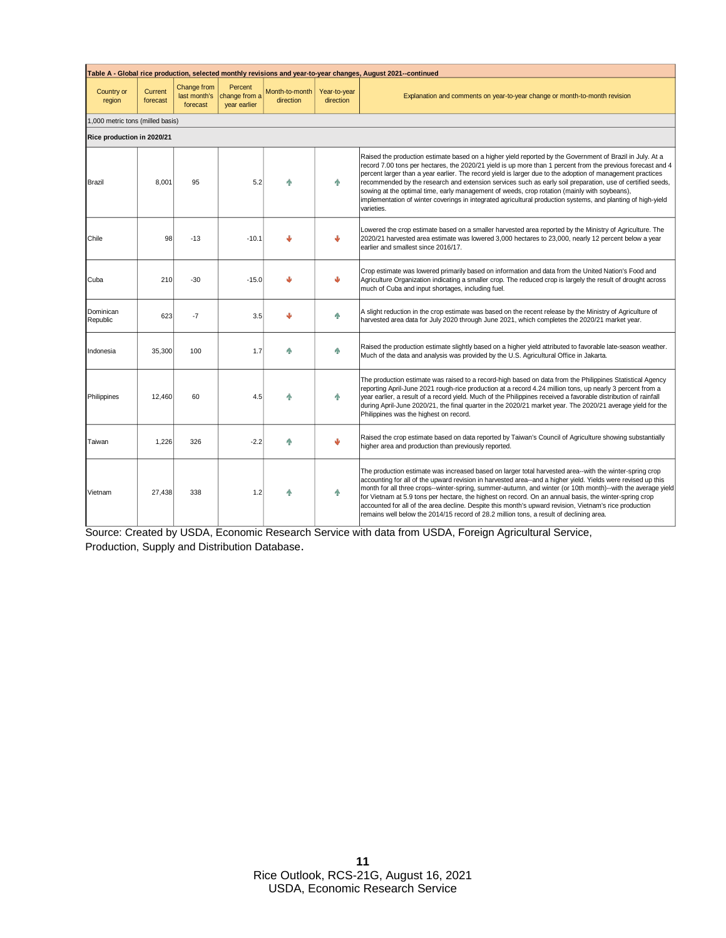| Table A - Global rice production, selected monthly revisions and year-to-year changes, August 2021--continued |                     |                                         |                                          |                             |                           |                                                                                                                                                                                                                                                                                                                                                                                                                                                                                                                                                                                                                                                                                    |  |  |  |
|---------------------------------------------------------------------------------------------------------------|---------------------|-----------------------------------------|------------------------------------------|-----------------------------|---------------------------|------------------------------------------------------------------------------------------------------------------------------------------------------------------------------------------------------------------------------------------------------------------------------------------------------------------------------------------------------------------------------------------------------------------------------------------------------------------------------------------------------------------------------------------------------------------------------------------------------------------------------------------------------------------------------------|--|--|--|
| Country or<br>region                                                                                          | Current<br>forecast | Change from<br>last month's<br>forecast | Percent<br>change from a<br>year earlier | Month-to-month<br>direction | Year-to-year<br>direction | Explanation and comments on year-to-year change or month-to-month revision                                                                                                                                                                                                                                                                                                                                                                                                                                                                                                                                                                                                         |  |  |  |
| 1,000 metric tons (milled basis)                                                                              |                     |                                         |                                          |                             |                           |                                                                                                                                                                                                                                                                                                                                                                                                                                                                                                                                                                                                                                                                                    |  |  |  |
| Rice production in 2020/21                                                                                    |                     |                                         |                                          |                             |                           |                                                                                                                                                                                                                                                                                                                                                                                                                                                                                                                                                                                                                                                                                    |  |  |  |
| <b>Brazil</b>                                                                                                 | 8,001               | 95                                      | 5.2                                      |                             | 个                         | Raised the production estimate based on a higher yield reported by the Government of Brazil in July. At a<br>record 7.00 tons per hectares, the 2020/21 yield is up more than 1 percent from the previous forecast and 4<br>percent larger than a year earlier. The record yield is larger due to the adoption of management practices<br>recommended by the research and extension services such as early soil preparation, use of certified seeds,<br>sowing at the optimal time, early management of weeds, crop rotation (mainly with soybeans),<br>implementation of winter coverings in integrated agricultural production systems, and planting of high-yield<br>varieties. |  |  |  |
| Chile                                                                                                         | 98                  | $-13$                                   | $-10.1$                                  |                             | J                         | Lowered the crop estimate based on a smaller harvested area reported by the Ministry of Agriculture. The<br>2020/21 harvested area estimate was lowered 3,000 hectares to 23,000, nearly 12 percent below a year<br>earlier and smallest since 2016/17.                                                                                                                                                                                                                                                                                                                                                                                                                            |  |  |  |
| Cuba                                                                                                          | 210                 | $-30$                                   | $-15.0$                                  |                             | Ψ                         | Crop estimate was lowered primarily based on information and data from the United Nation's Food and<br>Agriculture Organization indicating a smaller crop. The reduced crop is largely the result of drought across<br>much of Cuba and input shortages, including fuel.                                                                                                                                                                                                                                                                                                                                                                                                           |  |  |  |
| Dominican<br>Republic                                                                                         | 623                 | $-7$                                    | 3.5                                      | ىل                          | 个                         | A slight reduction in the crop estimate was based on the recent release by the Ministry of Agriculture of<br>harvested area data for July 2020 through June 2021, which completes the 2020/21 market year.                                                                                                                                                                                                                                                                                                                                                                                                                                                                         |  |  |  |
| Indonesia                                                                                                     | 35,300              | 100                                     | 1.7                                      | ቊ                           | 个                         | Raised the production estimate slightly based on a higher yield attributed to favorable late-season weather.<br>Much of the data and analysis was provided by the U.S. Agricultural Office in Jakarta.                                                                                                                                                                                                                                                                                                                                                                                                                                                                             |  |  |  |
| Philippines                                                                                                   | 12,460              | 60                                      | 4.5                                      |                             | 个                         | The production estimate was raised to a record-high based on data from the Philippines Statistical Agency<br>reporting April-June 2021 rough-rice production at a record 4.24 million tons, up nearly 3 percent from a<br>year earlier, a result of a record yield. Much of the Philippines received a favorable distribution of rainfall<br>during April-June 2020/21, the final quarter in the 2020/21 market year. The 2020/21 average yield for the<br>Philippines was the highest on record.                                                                                                                                                                                  |  |  |  |
| Taiwan                                                                                                        | 1.226               | 326                                     | $-2.2$                                   | Λ                           | Ψ                         | Raised the crop estimate based on data reported by Taiwan's Council of Agriculture showing substantially<br>higher area and production than previously reported.                                                                                                                                                                                                                                                                                                                                                                                                                                                                                                                   |  |  |  |
| Vietnam                                                                                                       | 27.438              | 338                                     | 1.2                                      |                             | 个                         | The production estimate was increased based on larger total harvested area--with the winter-spring crop<br>accounting for all of the upward revision in harvested area--and a higher yield. Yields were revised up this<br>month for all three crops--winter-spring, summer-autumn, and winter (or 10th month)--with the average yield<br>for Vietnam at 5.9 tons per hectare, the highest on record. On an annual basis, the winter-spring crop<br>accounted for all of the area decline. Despite this month's upward revision, Vietnam's rice production<br>remains well below the 2014/15 record of 28.2 million tons, a result of declining area.                              |  |  |  |

Source: Created by USDA, Economic Research Service with data from USDA, Foreign Agricultural Service, Production, Supply and Distribution Database.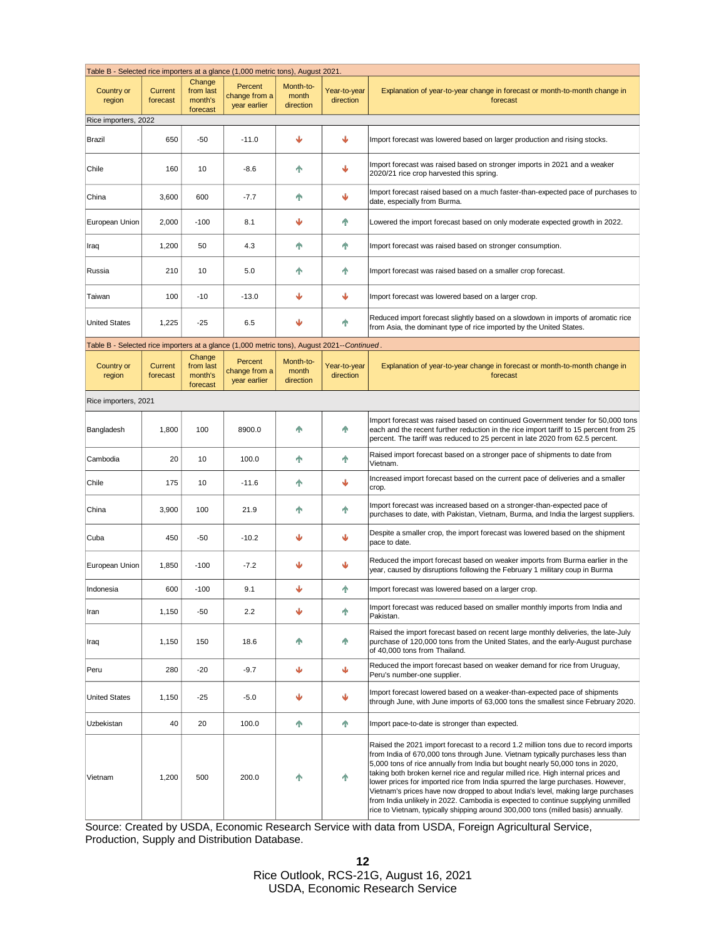| Table B - Selected rice importers at a glance (1,000 metric tons), August 2021.             |                     |                                            |                                          |                                 |                           |                                                                                                                                                                                                                                                                                                                                                                                                                                                                                                                                                                                                                                                                                          |  |  |  |
|---------------------------------------------------------------------------------------------|---------------------|--------------------------------------------|------------------------------------------|---------------------------------|---------------------------|------------------------------------------------------------------------------------------------------------------------------------------------------------------------------------------------------------------------------------------------------------------------------------------------------------------------------------------------------------------------------------------------------------------------------------------------------------------------------------------------------------------------------------------------------------------------------------------------------------------------------------------------------------------------------------------|--|--|--|
| Country or<br>region                                                                        | Current<br>forecast | Change<br>from last<br>month's<br>forecast | Percent<br>change from a<br>year earlier | Month-to-<br>month<br>direction | Year-to-year<br>direction | Explanation of year-to-year change in forecast or month-to-month change in<br>forecast                                                                                                                                                                                                                                                                                                                                                                                                                                                                                                                                                                                                   |  |  |  |
| Rice importers, 2022                                                                        |                     |                                            |                                          |                                 |                           |                                                                                                                                                                                                                                                                                                                                                                                                                                                                                                                                                                                                                                                                                          |  |  |  |
| Brazil                                                                                      | 650                 | $-50$                                      | $-11.0$                                  | Ψ                               | Ψ                         | Import forecast was lowered based on larger production and rising stocks.                                                                                                                                                                                                                                                                                                                                                                                                                                                                                                                                                                                                                |  |  |  |
| Chile                                                                                       | 160                 | 10                                         | $-8.6$                                   | ቶ                               | Ψ                         | Import forecast was raised based on stronger imports in 2021 and a weaker<br>2020/21 rice crop harvested this spring.                                                                                                                                                                                                                                                                                                                                                                                                                                                                                                                                                                    |  |  |  |
| China                                                                                       | 3,600               | 600                                        | $-7.7$                                   | 不                               | Ψ                         | Import forecast raised based on a much faster-than-expected pace of purchases to<br>date, especially from Burma.                                                                                                                                                                                                                                                                                                                                                                                                                                                                                                                                                                         |  |  |  |
| European Union                                                                              | 2,000               | $-100$                                     | 8.1                                      | ₩                               | 个                         | Lowered the import forecast based on only moderate expected growth in 2022.                                                                                                                                                                                                                                                                                                                                                                                                                                                                                                                                                                                                              |  |  |  |
| Iraq                                                                                        | 1,200               | 50                                         | 4.3                                      | 个                               | Ϋ                         | Import forecast was raised based on stronger consumption.                                                                                                                                                                                                                                                                                                                                                                                                                                                                                                                                                                                                                                |  |  |  |
| Russia                                                                                      | 210                 | 10                                         | 5.0                                      | 个                               | Ϋ                         | Import forecast was raised based on a smaller crop forecast.                                                                                                                                                                                                                                                                                                                                                                                                                                                                                                                                                                                                                             |  |  |  |
| Taiwan                                                                                      | 100                 | $-10$                                      | $-13.0$                                  | Ψ                               | Ψ                         | Import forecast was lowered based on a larger crop.                                                                                                                                                                                                                                                                                                                                                                                                                                                                                                                                                                                                                                      |  |  |  |
| <b>United States</b>                                                                        | 1,225               | $-25$                                      | 6.5                                      | ↓                               | 个                         | Reduced import forecast slightly based on a slowdown in imports of aromatic rice<br>from Asia, the dominant type of rice imported by the United States.                                                                                                                                                                                                                                                                                                                                                                                                                                                                                                                                  |  |  |  |
| Table B - Selected rice importers at a glance (1,000 metric tons), August 2021-- Continued. |                     |                                            |                                          |                                 |                           |                                                                                                                                                                                                                                                                                                                                                                                                                                                                                                                                                                                                                                                                                          |  |  |  |
| Country or<br>region                                                                        | Current<br>forecast | Change<br>from last<br>month's<br>forecast | Percent<br>change from a<br>year earlier | Month-to-<br>month<br>direction | Year-to-year<br>direction | Explanation of year-to-year change in forecast or month-to-month change in<br>forecast                                                                                                                                                                                                                                                                                                                                                                                                                                                                                                                                                                                                   |  |  |  |
| Rice importers, 2021                                                                        |                     |                                            |                                          |                                 |                           |                                                                                                                                                                                                                                                                                                                                                                                                                                                                                                                                                                                                                                                                                          |  |  |  |
| Bangladesh                                                                                  | 1,800               | 100                                        | 8900.0                                   | Λ                               | Ϋ                         | Import forecast was raised based on continued Government tender for 50,000 tons<br>each and the recent further reduction in the rice import tariff to 15 percent from 25<br>percent. The tariff was reduced to 25 percent in late 2020 from 62.5 percent.                                                                                                                                                                                                                                                                                                                                                                                                                                |  |  |  |
| Cambodia                                                                                    | 20                  | 10                                         | 100.0                                    | 个                               | ♠                         | Raised import forecast based on a stronger pace of shipments to date from<br>Vietnam.                                                                                                                                                                                                                                                                                                                                                                                                                                                                                                                                                                                                    |  |  |  |
| Chile                                                                                       | 175                 | 10                                         | $-11.6$                                  | ቶ                               | Ψ                         | Increased import forecast based on the current pace of deliveries and a smaller<br>crop.                                                                                                                                                                                                                                                                                                                                                                                                                                                                                                                                                                                                 |  |  |  |
| China                                                                                       | 3,900               | 100                                        | 21.9                                     | 不                               | ቶ                         | Import forecast was increased based on a stronger-than-expected pace of<br>purchases to date, with Pakistan, Vietnam, Burma, and India the largest suppliers.                                                                                                                                                                                                                                                                                                                                                                                                                                                                                                                            |  |  |  |
| Cuba                                                                                        | 450                 | $-50$                                      | $-10.2$                                  | Ψ                               | Ψ                         | Despite a smaller crop, the import forecast was lowered based on the shipment<br>pace to date.                                                                                                                                                                                                                                                                                                                                                                                                                                                                                                                                                                                           |  |  |  |
| European Union                                                                              | 1,850               | $-100$                                     | $-7.2$                                   |                                 | Ψ                         | Reduced the import forecast based on weaker imports from Burma earlier in the<br>year, caused by disruptions following the February 1 military coup in Burma                                                                                                                                                                                                                                                                                                                                                                                                                                                                                                                             |  |  |  |
| Indonesia                                                                                   | 600                 | $-100$                                     | 9.1                                      |                                 | 个                         | Import forecast was lowered based on a larger crop.                                                                                                                                                                                                                                                                                                                                                                                                                                                                                                                                                                                                                                      |  |  |  |
| Iran                                                                                        | 1,150               | $-50$                                      | 2.2                                      | J                               | ቶ                         | Import forecast was reduced based on smaller monthly imports from India and<br>Pakistan.                                                                                                                                                                                                                                                                                                                                                                                                                                                                                                                                                                                                 |  |  |  |
| Iraq                                                                                        | 1,150               | 150                                        | 18.6                                     | Φ                               | Ϋ                         | Raised the import forecast based on recent large monthly deliveries, the late-July<br>purchase of 120,000 tons from the United States, and the early-August purchase<br>of 40,000 tons from Thailand.                                                                                                                                                                                                                                                                                                                                                                                                                                                                                    |  |  |  |
| Peru                                                                                        | 280                 | $-20$                                      | $-9.7$                                   | ↓                               | ↓                         | Reduced the import forecast based on weaker demand for rice from Uruguay,<br>Peru's number-one supplier.                                                                                                                                                                                                                                                                                                                                                                                                                                                                                                                                                                                 |  |  |  |
| <b>United States</b>                                                                        | 1,150               | $-25$                                      | $-5.0$                                   | J                               | ψ                         | Import forecast lowered based on a weaker-than-expected pace of shipments<br>through June, with June imports of 63,000 tons the smallest since February 2020.                                                                                                                                                                                                                                                                                                                                                                                                                                                                                                                            |  |  |  |
| Uzbekistan                                                                                  | 40                  | 20                                         | 100.0                                    | 个                               | 不                         | Import pace-to-date is stronger than expected.                                                                                                                                                                                                                                                                                                                                                                                                                                                                                                                                                                                                                                           |  |  |  |
| Vietnam                                                                                     | 1,200               | 500                                        | 200.0                                    |                                 | Ϋ                         | Raised the 2021 import forecast to a record 1.2 million tons due to record imports<br>from India of 670,000 tons through June. Vietnam typically purchases less than<br>5,000 tons of rice annually from India but bought nearly 50,000 tons in 2020,<br>taking both broken kernel rice and regular milled rice. High internal prices and<br>lower prices for imported rice from India spurred the large purchases. However,<br>Vietnam's prices have now dropped to about India's level, making large purchases<br>from India unlikely in 2022. Cambodia is expected to continue supplying unmilled<br>rice to Vietnam, typically shipping around 300,000 tons (milled basis) annually. |  |  |  |

Source: Created by USDA, Economic Research Service with data from USDA, Foreign Agricultural Service, Production, Supply and Distribution Database.

> **12** Rice Outlook, RCS-21G, August 16, 2021 USDA, Economic Research Service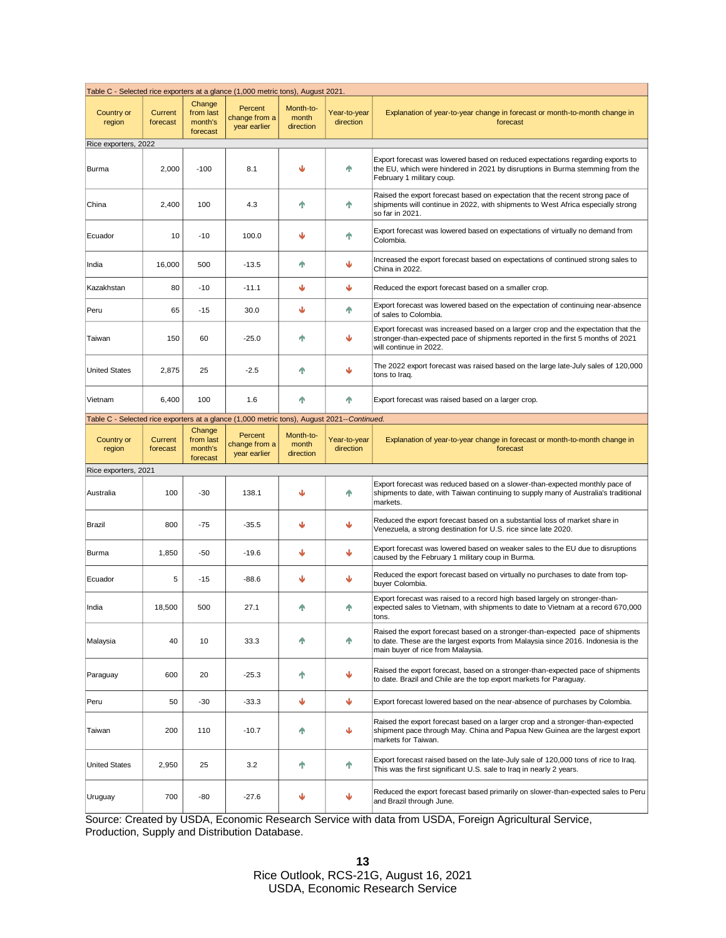| Table C - Selected rice exporters at a glance (1,000 metric tons), August 2021.             |                     |                                            |                                          |                                 |                           |                                                                                                                                                                                                          |  |  |
|---------------------------------------------------------------------------------------------|---------------------|--------------------------------------------|------------------------------------------|---------------------------------|---------------------------|----------------------------------------------------------------------------------------------------------------------------------------------------------------------------------------------------------|--|--|
| Country or<br>region                                                                        | Current<br>forecast | Change<br>from last<br>month's<br>forecast | Percent<br>change from a<br>year earlier | Month-to-<br>month<br>direction | Year-to-year<br>direction | Explanation of year-to-year change in forecast or month-to-month change in<br>forecast                                                                                                                   |  |  |
| Rice exporters, 2022                                                                        |                     |                                            |                                          |                                 |                           |                                                                                                                                                                                                          |  |  |
| Burma                                                                                       | 2,000               | $-100$                                     | 8.1                                      | ഄ                               | Ϋ                         | Export forecast was lowered based on reduced expectations regarding exports to<br>the EU, which were hindered in 2021 by disruptions in Burma stemming from the<br>February 1 military coup.             |  |  |
| China                                                                                       | 2,400               | 100                                        | 4.3                                      | ቶ                               | 个                         | Raised the export forecast based on expectation that the recent strong pace of<br>shipments will continue in 2022, with shipments to West Africa especially strong<br>so far in 2021.                    |  |  |
| Ecuador                                                                                     | 10                  | $-10$                                      | 100.0                                    | Ψ                               | ቶ                         | Export forecast was lowered based on expectations of virtually no demand from<br>Colombia.                                                                                                               |  |  |
| India                                                                                       | 16,000              | 500                                        | $-13.5$                                  | ቶ                               | ↓                         | Increased the export forecast based on expectations of continued strong sales to<br>China in 2022.                                                                                                       |  |  |
| Kazakhstan                                                                                  | 80                  | $-10$                                      | $-11.1$                                  | ↓                               | ⊌                         | Reduced the export forecast based on a smaller crop.                                                                                                                                                     |  |  |
| Peru                                                                                        | 65                  | $-15$                                      | 30.0                                     | ↓                               | ቶ                         | Export forecast was lowered based on the expectation of continuing near-absence<br>of sales to Colombia.                                                                                                 |  |  |
| Taiwan                                                                                      | 150                 | 60                                         | $-25.0$                                  | ቶ                               | J                         | Export forecast was increased based on a larger crop and the expectation that the<br>stronger-than-expected pace of shipments reported in the first 5 months of 2021<br>will continue in 2022.           |  |  |
| <b>United States</b>                                                                        | 2,875               | 25                                         | $-2.5$                                   | ቶ                               |                           | The 2022 export forecast was raised based on the large late-July sales of 120,000<br>tons to Iraq.                                                                                                       |  |  |
| Vietnam                                                                                     | 6,400               | 100                                        | 1.6                                      | ቶ                               | Ϋ                         | Export forecast was raised based on a larger crop.                                                                                                                                                       |  |  |
| Table C - Selected rice exporters at a glance (1,000 metric tons), August 2021-- Continued. |                     |                                            |                                          |                                 |                           |                                                                                                                                                                                                          |  |  |
| Country or<br>region                                                                        | Current<br>forecast | Change<br>from last<br>month's<br>forecast | Percent<br>change from a<br>year earlier | Month-to-<br>month<br>direction | Year-to-year<br>direction | Explanation of year-to-year change in forecast or month-to-month change in<br>forecast                                                                                                                   |  |  |
| Rice exporters, 2021                                                                        |                     |                                            |                                          |                                 |                           |                                                                                                                                                                                                          |  |  |
| Australia                                                                                   | 100                 | -30                                        | 138.1                                    |                                 | 个                         | Export forecast was reduced based on a slower-than-expected monthly pace of<br>shipments to date, with Taiwan continuing to supply many of Australia's traditional<br>markets.                           |  |  |
| Brazil                                                                                      | 800                 | $-75$                                      | $-35.5$                                  | ↓                               | J                         | Reduced the export forecast based on a substantial loss of market share in<br>Venezuela, a strong destination for U.S. rice since late 2020.                                                             |  |  |
| Burma                                                                                       | 1,850               | $-50$                                      | $-19.6$                                  | ↓                               | ↓                         | Export forecast was lowered based on weaker sales to the EU due to disruptions<br>caused by the February 1 military coup in Burma.                                                                       |  |  |
| Ecuador                                                                                     | 5                   | $-15$                                      | $-88.6$                                  | ↓                               | ↓                         | Reduced the export forecast based on virtually no purchases to date from top-<br>buyer Colombia.                                                                                                         |  |  |
| India                                                                                       | 18,500              | 500                                        | 27.1                                     | ቶ                               | Ϋ                         | Export forecast was raised to a record high based largely on stronger-than-<br>expected sales to Vietnam, with shipments to date to Vietnam at a record 670,000<br>LUI IS.                               |  |  |
| Malaysia                                                                                    | 40                  | 10                                         | 33.3                                     | ቶ                               | 个                         | Raised the export forecast based on a stronger-than-expected pace of shipments<br>to date. These are the largest exports from Malaysia since 2016. Indonesia is the<br>main buyer of rice from Malaysia. |  |  |
| Paraguay                                                                                    | 600                 | 20                                         | $-25.3$                                  | ቶ                               | ⊌                         | Raised the export forecast, based on a stronger-than-expected pace of shipments<br>to date. Brazil and Chile are the top export markets for Paraguay.                                                    |  |  |
| Peru                                                                                        | 50                  | $-30$                                      | $-33.3$                                  | ↓                               | ₩                         | Export forecast lowered based on the near-absence of purchases by Colombia.                                                                                                                              |  |  |
| Taiwan                                                                                      | 200                 | 110                                        | $-10.7$                                  | ቶ                               | ↓                         | Raised the export forecast based on a larger crop and a stronger-than-expected<br>shipment pace through May. China and Papua New Guinea are the largest export<br>markets for Taiwan.                    |  |  |
| <b>United States</b>                                                                        | 2,950               | 25                                         | 3.2                                      | ቶ                               | 个                         | Export forecast raised based on the late-July sale of 120,000 tons of rice to Iraq.<br>This was the first significant U.S. sale to Iraq in nearly 2 years.                                               |  |  |
| Uruguay                                                                                     | 700                 | -80                                        | $-27.6$                                  | ↓                               |                           | Reduced the export forecast based primarily on slower-than-expected sales to Peru<br>and Brazil through June.                                                                                            |  |  |

Source: Created by USDA, Economic Research Service with data from USDA, Foreign Agricultural Service, Production, Supply and Distribution Database.

> **13** Rice Outlook, RCS-21G, August 16, 2021 USDA, Economic Research Service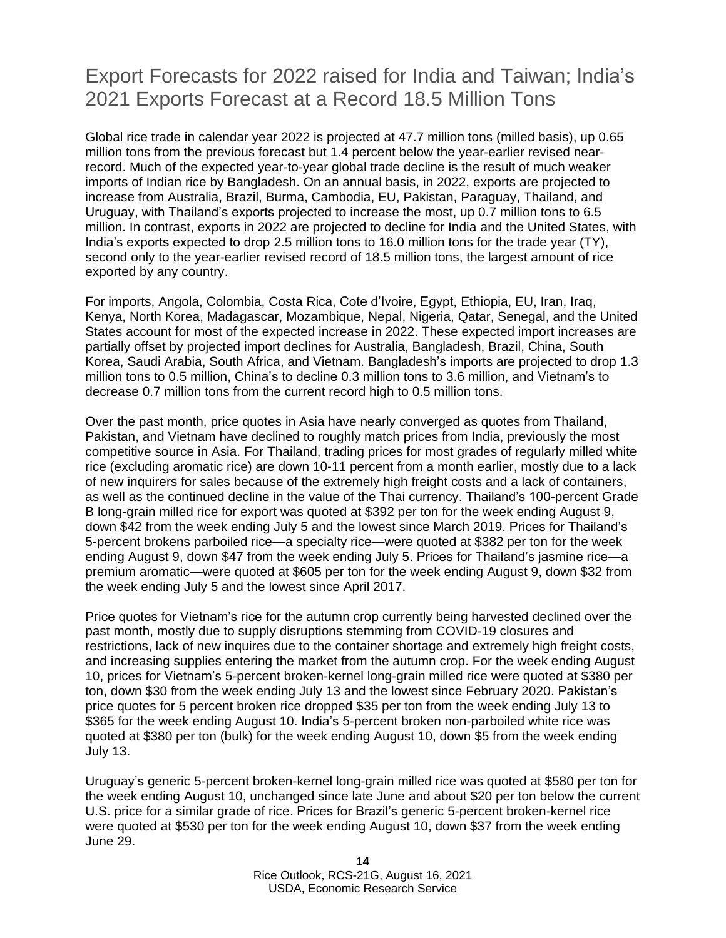### Export Forecasts for 2022 raised for India and Taiwan; India's 2021 Exports Forecast at a Record 18.5 Million Tons

Global rice trade in calendar year 2022 is projected at 47.7 million tons (milled basis), up 0.65 million tons from the previous forecast but 1.4 percent below the year-earlier revised nearrecord. Much of the expected year-to-year global trade decline is the result of much weaker imports of Indian rice by Bangladesh. On an annual basis, in 2022, exports are projected to increase from Australia, Brazil, Burma, Cambodia, EU, Pakistan, Paraguay, Thailand, and Uruguay, with Thailand's exports projected to increase the most, up 0.7 million tons to 6.5 million. In contrast, exports in 2022 are projected to decline for India and the United States, with India's exports expected to drop 2.5 million tons to 16.0 million tons for the trade year (TY), second only to the year-earlier revised record of 18.5 million tons, the largest amount of rice exported by any country.

For imports, Angola, Colombia, Costa Rica, Cote d'Ivoire, Egypt, Ethiopia, EU, Iran, Iraq, Kenya, North Korea, Madagascar, Mozambique, Nepal, Nigeria, Qatar, Senegal, and the United States account for most of the expected increase in 2022. These expected import increases are partially offset by projected import declines for Australia, Bangladesh, Brazil, China, South Korea, Saudi Arabia, South Africa, and Vietnam. Bangladesh's imports are projected to drop 1.3 million tons to 0.5 million, China's to decline 0.3 million tons to 3.6 million, and Vietnam's to decrease 0.7 million tons from the current record high to 0.5 million tons.

Over the past month, price quotes in Asia have nearly converged as quotes from Thailand, Pakistan, and Vietnam have declined to roughly match prices from India, previously the most competitive source in Asia. For Thailand, trading prices for most grades of regularly milled white rice (excluding aromatic rice) are down 10-11 percent from a month earlier, mostly due to a lack of new inquirers for sales because of the extremely high freight costs and a lack of containers, as well as the continued decline in the value of the Thai currency. Thailand's 100-percent Grade B long-grain milled rice for export was quoted at \$392 per ton for the week ending August 9, down \$42 from the week ending July 5 and the lowest since March 2019. Prices for Thailand's 5-percent brokens parboiled rice—a specialty rice—were quoted at \$382 per ton for the week ending August 9, down \$47 from the week ending July 5. Prices for Thailand's jasmine rice—a premium aromatic—were quoted at \$605 per ton for the week ending August 9, down \$32 from the week ending July 5 and the lowest since April 2017.

Price quotes for Vietnam's rice for the autumn crop currently being harvested declined over the past month, mostly due to supply disruptions stemming from COVID-19 closures and restrictions, lack of new inquires due to the container shortage and extremely high freight costs, and increasing supplies entering the market from the autumn crop. For the week ending August 10, prices for Vietnam's 5-percent broken-kernel long-grain milled rice were quoted at \$380 per ton, down \$30 from the week ending July 13 and the lowest since February 2020. Pakistan's price quotes for 5 percent broken rice dropped \$35 per ton from the week ending July 13 to \$365 for the week ending August 10. India's 5-percent broken non-parboiled white rice was quoted at \$380 per ton (bulk) for the week ending August 10, down \$5 from the week ending July 13.

Uruguay's generic 5-percent broken-kernel long-grain milled rice was quoted at \$580 per ton for the week ending August 10, unchanged since late June and about \$20 per ton below the current U.S. price for a similar grade of rice. Prices for Brazil's generic 5-percent broken-kernel rice were quoted at \$530 per ton for the week ending August 10, down \$37 from the week ending June 29.

> **14** Rice Outlook, RCS-21G, August 16, 2021 USDA, Economic Research Service